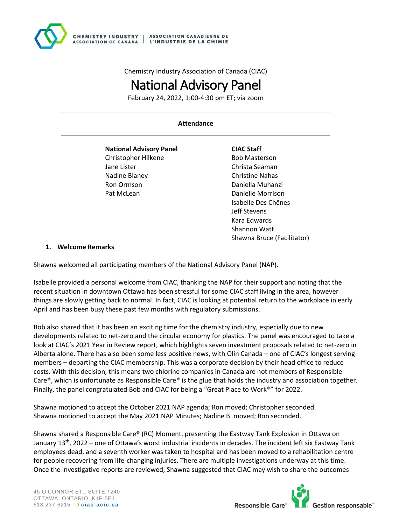

Chemistry Industry Association of Canada (CIAC)

# National Advisory Panel

February 24, 2022, 1:00-4:30 pm ET; via zoom

#### **Attendance**

**National Advisory Panel**  Christopher Hilkene Jane Lister Nadine Blaney Ron Ormson Pat McLean

#### **CIAC Staff** Bob Masterson Christa Seaman Christine Nahas Daniella Muhanzi Danielle Morrison Isabelle Des Chênes Jeff Stevens Kara Edwards Shannon Watt

Shawna Bruce (Facilitator)

#### **1. Welcome Remarks**

Shawna welcomed all participating members of the National Advisory Panel (NAP).

Isabelle provided a personal welcome from CIAC, thanking the NAP for their support and noting that the recent situation in downtown Ottawa has been stressful for some CIAC staff living in the area, however things are slowly getting back to normal. In fact, CIAC is looking at potential return to the workplace in early April and has been busy these past few months with regulatory submissions.

Bob also shared that it has been an exciting time for the chemistry industry, especially due to new developments related to net-zero and the circular economy for plastics. The panel was encouraged to take a look at CIAC's 2021 Year in Review report, which highlights seven investment proposals related to net-zero in Alberta alone. There has also been some less positive news, with Olin Canada – one of CIAC's longest serving members – departing the CIAC membership. This was a corporate decision by their head office to reduce costs. With this decision, this means two chlorine companies in Canada are not members of Responsible Care®, which is unfortunate as Responsible Care® is the glue that holds the industry and association together. Finally, the panel congratulated Bob and CIAC for being a "Great Place to Work®" for 2022.

Shawna motioned to accept the October 2021 NAP agenda; Ron moved; Christopher seconded. Shawna motioned to accept the May 2021 NAP Minutes; Nadine B. moved; Ron seconded.

Shawna shared a Responsible Care® (RC) Moment, presenting the Eastway Tank Explosion in Ottawa on January 13th, 2022 – one of Ottawa's worst industrial incidents in decades. The incident left six Eastway Tank employees dead, and a seventh worker was taken to hospital and has been moved to a rehabilitation centre for people recovering from life-changing injuries. There are multiple investigations underway at this time. Once the investigative reports are reviewed, Shawna suggested that CIAC may wish to share the outcomes

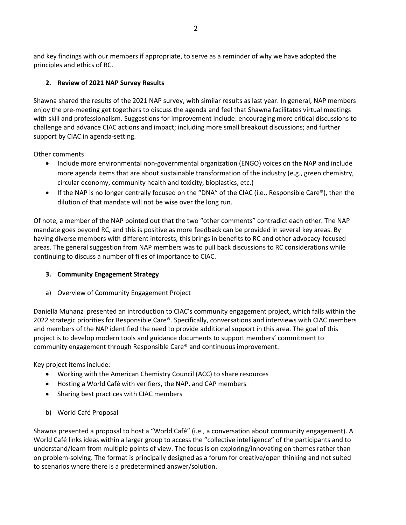and key findings with our members if appropriate, to serve as a reminder of why we have adopted the principles and ethics of RC.

# **2. Review of 2021 NAP Survey Results**

Shawna shared the results of the 2021 NAP survey, with similar results as last year. In general, NAP members enjoy the pre-meeting get togethers to discuss the agenda and feel that Shawna facilitates virtual meetings with skill and professionalism. Suggestions for improvement include: encouraging more critical discussions to challenge and advance CIAC actions and impact; including more small breakout discussions; and further support by CIAC in agenda-setting.

Other comments

- Include more environmental non-governmental organization (ENGO) voices on the NAP and include more agenda items that are about sustainable transformation of the industry (e.g., green chemistry, circular economy, community health and toxicity, bioplastics, etc.)
- If the NAP is no longer centrally focused on the "DNA" of the CIAC (i.e., Responsible Care®), then the dilution of that mandate will not be wise over the long run.

Of note, a member of the NAP pointed out that the two "other comments" contradict each other. The NAP mandate goes beyond RC, and this is positive as more feedback can be provided in several key areas. By having diverse members with different interests, this brings in benefits to RC and other advocacy-focused areas. The general suggestion from NAP members was to pull back discussions to RC considerations while continuing to discuss a number of files of importance to CIAC.

## **3. Community Engagement Strategy**

a) Overview of Community Engagement Project

Daniella Muhanzi presented an introduction to CIAC's community engagement project, which falls within the 2022 strategic priorities for Responsible Care®. Specifically, conversations and interviews with CIAC members and members of the NAP identified the need to provide additional support in this area. The goal of this project is to develop modern tools and guidance documents to support members' commitment to community engagement through Responsible Care® and continuous improvement.

Key project items include:

- Working with the American Chemistry Council (ACC) to share resources
- Hosting a World Café with verifiers, the NAP, and CAP members
- Sharing best practices with CIAC members
- b) World Café Proposal

Shawna presented a proposal to host a "World Café" (i.e., a conversation about community engagement). A World Café links ideas within a larger group to access the "collective intelligence" of the participants and to understand/learn from multiple points of view. The focus is on exploring/innovating on themes rather than on problem-solving. The format is principally designed as a forum for creative/open thinking and not suited to scenarios where there is a predetermined answer/solution.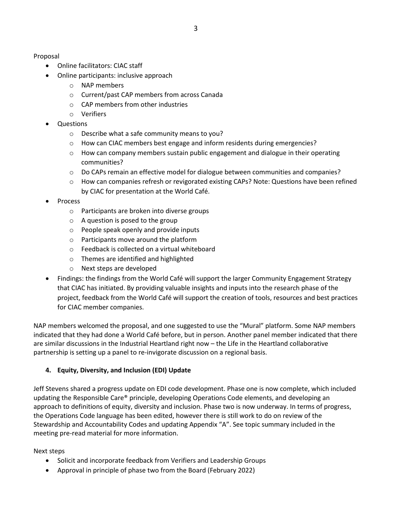Proposal

- Online facilitators: CIAC staff
- Online participants: inclusive approach
	- o NAP members
	- o Current/past CAP members from across Canada
	- o CAP members from other industries
	- o Verifiers
- Questions
	- o Describe what a safe community means to you?
	- o How can CIAC members best engage and inform residents during emergencies?
	- $\circ$  How can company members sustain public engagement and dialogue in their operating communities?
	- o Do CAPs remain an effective model for dialogue between communities and companies?
	- o How can companies refresh or revigorated existing CAPs? Note: Questions have been refined by CIAC for presentation at the World Café.
- Process
	- o Participants are broken into diverse groups
	- $\circ$  A question is posed to the group
	- o People speak openly and provide inputs
	- o Participants move around the platform
	- o Feedback is collected on a virtual whiteboard
	- o Themes are identified and highlighted
	- o Next steps are developed
- Findings: the findings from the World Café will support the larger Community Engagement Strategy that CIAC has initiated. By providing valuable insights and inputs into the research phase of the project, feedback from the World Café will support the creation of tools, resources and best practices for CIAC member companies.

NAP members welcomed the proposal, and one suggested to use the "Mural" platform. Some NAP members indicated that they had done a World Café before, but in person. Another panel member indicated that there are similar discussions in the Industrial Heartland right now – the Life in the Heartland collaborative partnership is setting up a panel to re-invigorate discussion on a regional basis.

# **4. Equity, Diversity, and Inclusion (EDI) Update**

Jeff Stevens shared a progress update on EDI code development. Phase one is now complete, which included updating the Responsible Care® principle, developing Operations Code elements, and developing an approach to definitions of equity, diversity and inclusion. Phase two is now underway. In terms of progress, the Operations Code language has been edited, however there is still work to do on review of the Stewardship and Accountability Codes and updating Appendix "A". See topic summary included in the meeting pre-read material for more information.

Next steps

- Solicit and incorporate feedback from Verifiers and Leadership Groups
- Approval in principle of phase two from the Board (February 2022)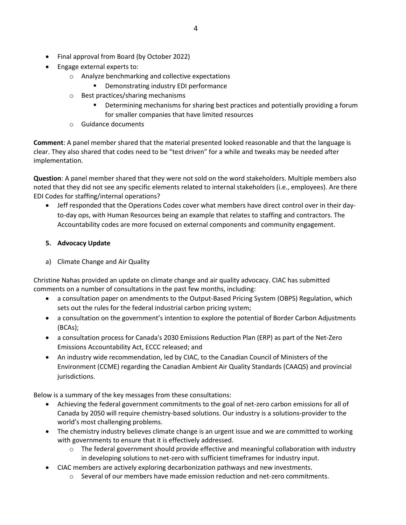- Final approval from Board (by October 2022)
- Engage external experts to:
	- o Analyze benchmarking and collective expectations
		- Demonstrating industry EDI performance
	- o Best practices/sharing mechanisms
		- **EXEDENTIFY IDETER IS A THE INCOCO EXECUTE:** Determining a forum **Providing a forum** for smaller companies that have limited resources
	- o Guidance documents

**Comment**: A panel member shared that the material presented looked reasonable and that the language is clear. They also shared that codes need to be "test driven" for a while and tweaks may be needed after implementation.

**Question**: A panel member shared that they were not sold on the word stakeholders. Multiple members also noted that they did not see any specific elements related to internal stakeholders (i.e., employees). Are there EDI Codes for staffing/internal operations?

• Jeff responded that the Operations Codes cover what members have direct control over in their dayto-day ops, with Human Resources being an example that relates to staffing and contractors. The Accountability codes are more focused on external components and community engagement.

## **5. Advocacy Update**

a) Climate Change and Air Quality

Christine Nahas provided an update on climate change and air quality advocacy. CIAC has submitted comments on a number of consultations in the past few months, including:

- a consultation paper on amendments to the Output-Based Pricing System (OBPS) Regulation, which sets out the rules for the federal industrial carbon pricing system;
- a consultation on the government's intention to explore the potential of Border Carbon Adjustments (BCAs);
- a consultation process for Canada's 2030 Emissions Reduction Plan (ERP) as part of the Net-Zero Emissions Accountability Act, ECCC released; and
- An industry wide recommendation, led by CIAC, to the Canadian Council of Ministers of the Environment (CCME) regarding the Canadian Ambient Air Quality Standards (CAAQS) and provincial jurisdictions.

Below is a summary of the key messages from these consultations:

- Achieving the federal government commitments to the goal of net-zero carbon emissions for all of Canada by 2050 will require chemistry-based solutions. Our industry is a solutions-provider to the world's most challenging problems.
- The chemistry industry believes climate change is an urgent issue and we are committed to working with governments to ensure that it is effectively addressed.
	- $\circ$  The federal government should provide effective and meaningful collaboration with industry in developing solutions to net-zero with sufficient timeframes for industry input.
- CIAC members are actively exploring decarbonization pathways and new investments.
	- $\circ$  Several of our members have made emission reduction and net-zero commitments.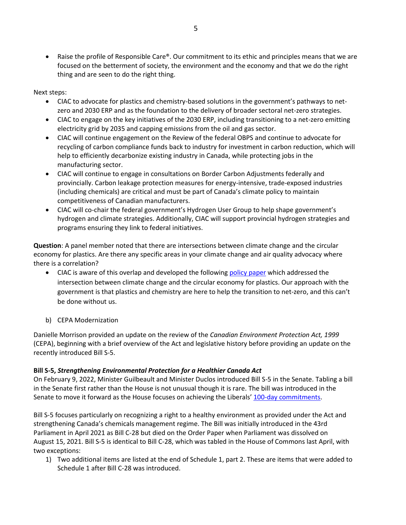• Raise the profile of Responsible Care®. Our commitment to its ethic and principles means that we are focused on the betterment of society, the environment and the economy and that we do the right thing and are seen to do the right thing.

Next steps:

- CIAC to advocate for plastics and chemistry-based solutions in the government's pathways to netzero and 2030 ERP and as the foundation to the delivery of broader sectoral net-zero strategies.
- CIAC to engage on the key initiatives of the 2030 ERP, including transitioning to a net-zero emitting electricity grid by 2035 and capping emissions from the oil and gas sector.
- CIAC will continue engagement on the Review of the federal OBPS and continue to advocate for recycling of carbon compliance funds back to industry for investment in carbon reduction, which will help to efficiently decarbonize existing industry in Canada, while protecting jobs in the manufacturing sector.
- CIAC will continue to engage in consultations on Border Carbon Adjustments federally and provincially. Carbon leakage protection measures for energy-intensive, trade-exposed industries (including chemicals) are critical and must be part of Canada's climate policy to maintain competitiveness of Canadian manufacturers.
- CIAC will co-chair the federal government's Hydrogen User Group to help shape government's hydrogen and climate strategies. Additionally, CIAC will support provincial hydrogen strategies and programs ensuring they link to federal initiatives.

**Question**: A panel member noted that there are intersections between climate change and the circular economy for plastics. Are there any specific areas in your climate change and air quality advocacy where there is a correlation?

- CIAC is aware of this overlap and developed the following [policy paper](https://canadianchemistry.ca/wp-content/uploads/2021/10/Solutions_Net_Zero_Oct2021_EN-1.pdf) which addressed the intersection between climate change and the circular economy for plastics. Our approach with the government is that plastics and chemistry are here to help the transition to net-zero, and this can't be done without us.
- b) CEPA Modernization

Danielle Morrison provided an update on the review of the *Canadian Environment Protection Act, 1999* (CEPA), beginning with a brief overview of the Act and legislative history before providing an update on the recently introduced Bill S-5.

## **Bill S-5,** *Strengthening Environmental Protection for a Healthier Canada Act*

On February 9, 2022, Minister Guilbeault and Minister Duclos introduced Bill S-5 in the Senate. Tabling a bill in the Senate first rather than the House is not unusual though it is rare. The bill was introduced in the Senate to move it forward as the House focuses on achieving the Liberals' [100-day commitments.](https://www.cbc.ca/news/politics/liberals-first-100-days-1.6249073)

Bill S-5 focuses particularly on recognizing a right to a healthy environment as provided under the Act and strengthening Canada's chemicals management regime. The Bill was initially introduced in the 43rd Parliament in April 2021 as Bill C-28 but died on the Order Paper when Parliament was dissolved on August 15, 2021. Bill S-5 is identical to Bill C-28, which was tabled in the House of Commons last April, with two exceptions:

1) Two additional items are listed at the end of Schedule 1, part 2. These are items that were added to Schedule 1 after Bill C-28 was introduced.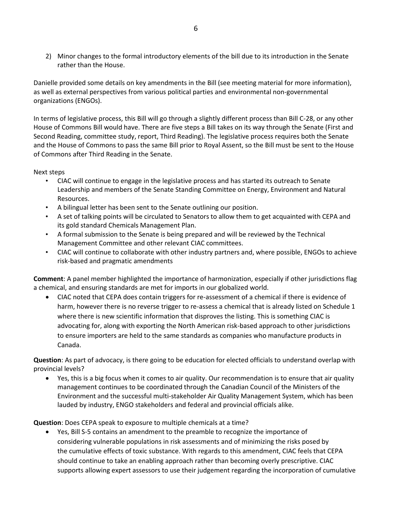2) Minor changes to the formal introductory elements of the bill due to its introduction in the Senate rather than the House.

Danielle provided some details on key amendments in the Bill (see meeting material for more information), as well as external perspectives from various political parties and environmental non-governmental organizations (ENGOs).

In terms of legislative process, this Bill will go through a slightly different process than Bill C-28, or any other House of Commons Bill would have. There are five steps a Bill takes on its way through the Senate (First and Second Reading, committee study, report, Third Reading). The legislative process requires both the Senate and the House of Commons to pass the same Bill prior to Royal Assent, so the Bill must be sent to the House of Commons after Third Reading in the Senate.

Next steps

- CIAC will continue to engage in the legislative process and has started its outreach to Senate Leadership and members of the Senate Standing Committee on Energy, Environment and Natural Resources.
- A bilingual letter has been sent to the Senate outlining our position.
- A set of talking points will be circulated to Senators to allow them to get acquainted with CEPA and its gold standard Chemicals Management Plan.
- A formal submission to the Senate is being prepared and will be reviewed by the Technical Management Committee and other relevant CIAC committees.
- CIAC will continue to collaborate with other industry partners and, where possible, ENGOs to achieve risk-based and pragmatic amendments

**Comment**: A panel member highlighted the importance of harmonization, especially if other jurisdictions flag a chemical, and ensuring standards are met for imports in our globalized world.

• CIAC noted that CEPA does contain triggers for re-assessment of a chemical if there is evidence of harm, however there is no reverse trigger to re-assess a chemical that is already listed on Schedule 1 where there is new scientific information that disproves the listing. This is something CIAC is advocating for, along with exporting the North American risk-based approach to other jurisdictions to ensure importers are held to the same standards as companies who manufacture products in Canada.

**Question**: As part of advocacy, is there going to be education for elected officials to understand overlap with provincial levels?

• Yes, this is a big focus when it comes to air quality. Our recommendation is to ensure that air quality management continues to be coordinated through the Canadian Council of the Ministers of the Environment and the successful multi-stakeholder Air Quality Management System, which has been lauded by industry, ENGO stakeholders and federal and provincial officials alike.

**Question**: Does CEPA speak to exposure to multiple chemicals at a time?

• Yes, Bill S-5 contains an amendment to the preamble to recognize the importance of considering vulnerable populations in risk assessments and of minimizing the risks posed by the cumulative effects of toxic substance. With regards to this amendment, CIAC feels that CEPA should continue to take an enabling approach rather than becoming overly prescriptive. CIAC supports allowing expert assessors to use their judgement regarding the incorporation of cumulative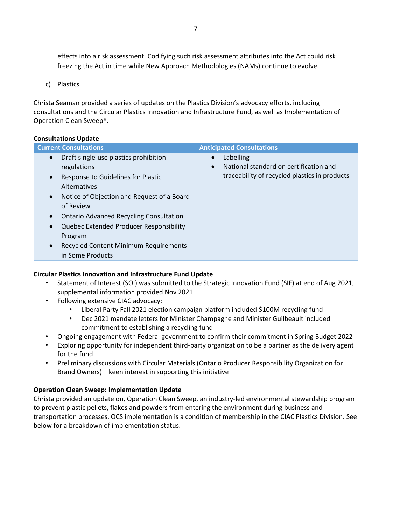effects into a risk assessment. Codifying such risk assessment attributes into the Act could risk freezing the Act in time while New Approach Methodologies (NAMs) continue to evolve.

c) Plastics

Christa Seaman provided a series of updates on the Plastics Division's advocacy efforts, including consultations and the Circular Plastics Innovation and Infrastructure Fund, as well as Implementation of Operation Clean Sweep®.

#### **Consultations Update**

| <b>Current Consultations</b>                                                                                                                                                                                                                                                                                                                                                                                | <b>Anticipated Consultations</b>                                                                                               |
|-------------------------------------------------------------------------------------------------------------------------------------------------------------------------------------------------------------------------------------------------------------------------------------------------------------------------------------------------------------------------------------------------------------|--------------------------------------------------------------------------------------------------------------------------------|
| Draft single-use plastics prohibition<br>$\bullet$<br>regulations<br>Response to Guidelines for Plastic<br>$\bullet$<br>Alternatives<br>Notice of Objection and Request of a Board<br>$\bullet$<br>of Review<br><b>Ontario Advanced Recycling Consultation</b><br>$\bullet$<br>Quebec Extended Producer Responsibility<br>$\bullet$<br>Program<br>Recycled Content Minimum Requirements<br>in Some Products | Labelling<br>$\bullet$<br>National standard on certification and<br>$\bullet$<br>traceability of recycled plastics in products |

#### **Circular Plastics Innovation and Infrastructure Fund Update**

- Statement of Interest (SOI) was submitted to the Strategic Innovation Fund (SIF) at end of Aug 2021, supplemental information provided Nov 2021
- Following extensive CIAC advocacy:
	- Liberal Party Fall 2021 election campaign platform included \$100M recycling fund
	- Dec 2021 mandate letters for Minister Champagne and Minister Guilbeault included commitment to establishing a recycling fund
- Ongoing engagement with Federal government to confirm their commitment in Spring Budget 2022
- Exploring opportunity for independent third-party organization to be a partner as the delivery agent for the fund
- Preliminary discussions with Circular Materials (Ontario Producer Responsibility Organization for Brand Owners) – keen interest in supporting this initiative

## **Operation Clean Sweep: Implementation Update**

Christa provided an update on, Operation Clean Sweep, an industry-led environmental stewardship program to prevent plastic pellets, flakes and powders from entering the environment during business and transportation processes. OCS implementation is a condition of membership in the CIAC Plastics Division. See below for a breakdown of implementation status.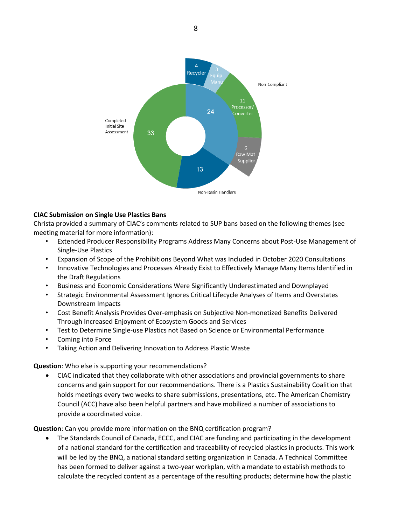

## **CIAC Submission on Single Use Plastics Bans**

Christa provided a summary of CIAC's comments related to SUP bans based on the following themes (see meeting material for more information):

- Extended Producer Responsibility Programs Address Many Concerns about Post-Use Management of Single-Use Plastics
- Expansion of Scope of the Prohibitions Beyond What was Included in October 2020 Consultations
- Innovative Technologies and Processes Already Exist to Effectively Manage Many Items Identified in the Draft Regulations
- Business and Economic Considerations Were Significantly Underestimated and Downplayed
- Strategic Environmental Assessment Ignores Critical Lifecycle Analyses of Items and Overstates Downstream Impacts
- Cost Benefit Analysis Provides Over-emphasis on Subjective Non-monetized Benefits Delivered Through Increased Enjoyment of Ecosystem Goods and Services
- Test to Determine Single-use Plastics not Based on Science or Environmental Performance
- Coming into Force
- Taking Action and Delivering Innovation to Address Plastic Waste

#### **Question**: Who else is supporting your recommendations?

• CIAC indicated that they collaborate with other associations and provincial governments to share concerns and gain support for our recommendations. There is a Plastics Sustainability Coalition that holds meetings every two weeks to share submissions, presentations, etc. The American Chemistry Council (ACC) have also been helpful partners and have mobilized a number of associations to provide a coordinated voice.

**Question**: Can you provide more information on the BNQ certification program?

• The Standards Council of Canada, ECCC, and CIAC are funding and participating in the development of a national standard for the certification and traceability of recycled plastics in products. This work will be led by the BNQ, a national standard setting organization in Canada. A Technical Committee has been formed to deliver against a two-year workplan, with a mandate to establish methods to calculate the recycled content as a percentage of the resulting products; determine how the plastic